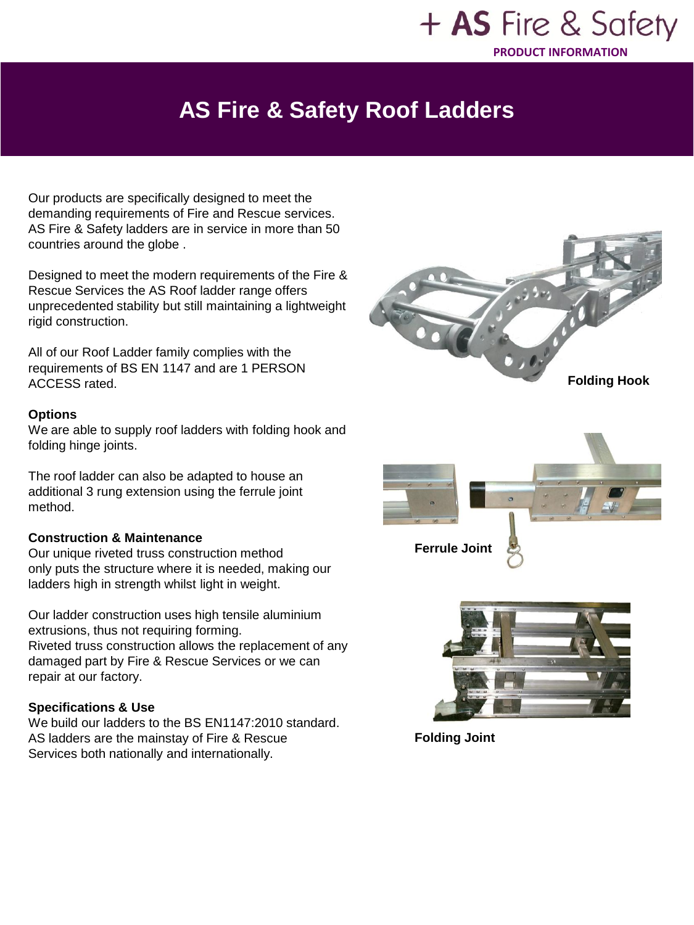### + AS Fire & Safety **PRODUCT INFORMATION**

# **AS Fire & Safety Roof Ladders**

Our products are specifically designed to meet the demanding requirements of Fire and Rescue services. AS Fire & Safety ladders are in service in more than 50 countries around the globe .

Designed to meet the modern requirements of the Fire & Rescue Services the AS Roof ladder range offers unprecedented stability but still maintaining a lightweight rigid construction.

All of our Roof Ladder family complies with the requirements of BS EN 1147 and are 1 PERSON ACCESS rated.

#### **Options**

We are able to supply roof ladders with folding hook and folding hinge joints.

The roof ladder can also be adapted to house an additional 3 rung extension using the ferrule joint method.

#### **Construction & Maintenance**

Our unique riveted truss construction method only puts the structure where it is needed, making our ladders high in strength whilst light in weight.

Our ladder construction uses high tensile aluminium extrusions, thus not requiring forming. Riveted truss construction allows the replacement of any damaged part by Fire & Rescue Services or we can repair at our factory.

#### **Specifications & Use**

We build our ladders to the BS EN1147:2010 standard. AS ladders are the mainstay of Fire & Rescue Services both nationally and internationally.



**Folding Joint**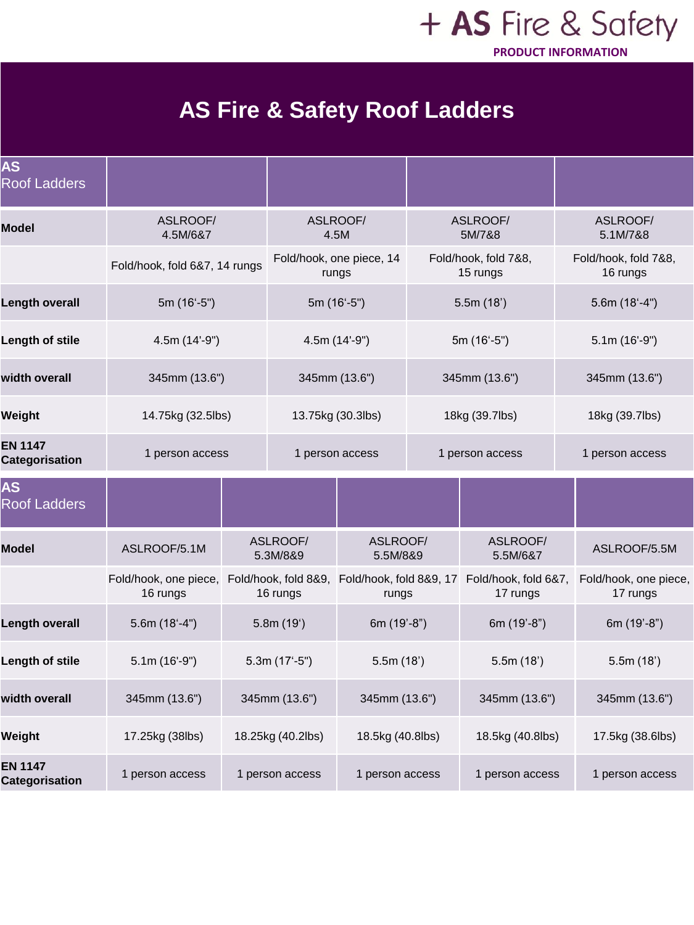### + AS Fire & Safety **PRODUCT INFORMATION**

# **AS Fire & Safety Roof Ladders**

| <b>AS</b><br><b>Roof Ladders</b>        |                                   |                   |                                  |                                  |                 |                                  |                                   |
|-----------------------------------------|-----------------------------------|-------------------|----------------------------------|----------------------------------|-----------------|----------------------------------|-----------------------------------|
| <b>Model</b>                            | ASLROOF/<br>4.5M/6&7              |                   | ASLROOF/                         | 4.5M                             |                 | ASLROOF/<br>5M/7&8               | ASLROOF/<br>5.1M/7&8              |
|                                         | Fold/hook, fold 6&7, 14 rungs     |                   | Fold/hook, one piece, 14         | rungs                            |                 | Fold/hook, fold 7&8,<br>15 rungs | Fold/hook, fold 7&8,<br>16 rungs  |
| Length overall                          | 5m (16'-5")                       |                   | 5m (16'-5")                      |                                  |                 | 5.5m(18')                        | $5.6m(18'-4")$                    |
| Length of stile                         | $4.5m(14'-9")$                    |                   | 4.5m (14'-9")                    |                                  |                 | $5m(16^{\circ}-5^{\circ})$       | $5.1m(16'-9")$                    |
| width overall                           | 345mm (13.6")                     |                   | 345mm (13.6")                    |                                  |                 | 345mm (13.6")                    | 345mm (13.6")                     |
| Weight                                  | 14.75kg (32.5lbs)                 |                   | 13.75kg (30.3lbs)                |                                  |                 | 18kg (39.7lbs)                   | 18kg (39.7lbs)                    |
| <b>EN 1147</b><br><b>Categorisation</b> | 1 person access                   |                   | 1 person access                  |                                  | 1 person access |                                  | 1 person access                   |
| <b>AS</b><br><b>Roof Ladders</b>        |                                   |                   |                                  |                                  |                 |                                  |                                   |
| <b>Model</b>                            | ASLROOF/5.1M                      |                   | ASLROOF/<br>5.3M/8&9             | ASLROOF/<br>5.5M/8&9             |                 | ASLROOF/<br>5.5M/6&7             | ASLROOF/5.5M                      |
|                                         | Fold/hook, one piece,<br>16 rungs |                   | Fold/hook, fold 8&9,<br>16 rungs | Fold/hook, fold 8&9, 17<br>rungs |                 | Fold/hook, fold 6&7,<br>17 rungs | Fold/hook, one piece,<br>17 rungs |
| <b>Length overall</b>                   | $5.6m(18'-4")$                    |                   | 5.8m(19')                        | 6m (19'-8")                      |                 | 6m (19'-8")                      | 6m (19'-8")                       |
| Length of stile                         | $5.1m(16'-9")$                    | $5.3m(17'-5")$    |                                  | 5.5m(18')                        |                 | 5.5m(18')                        | 5.5m(18')                         |
| width overall                           | 345mm (13.6")                     |                   | 345mm (13.6")                    | 345mm (13.6")                    |                 | 345mm (13.6")                    | 345mm (13.6")                     |
| Weight                                  | 17.25kg (38lbs)                   | 18.25kg (40.2lbs) |                                  | 18.5kg (40.8lbs)                 |                 | 18.5kg (40.8lbs)                 | 17.5kg (38.6lbs)                  |
| <b>EN 1147</b><br><b>Categorisation</b> | 1 person access                   |                   | 1 person access                  | 1 person access                  |                 | 1 person access                  | 1 person access                   |
|                                         |                                   |                   |                                  |                                  |                 |                                  |                                   |